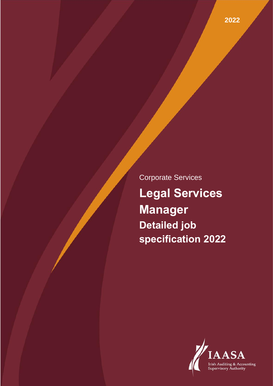Corporate Services **Legal Services Manager Detailed job specification 2022**

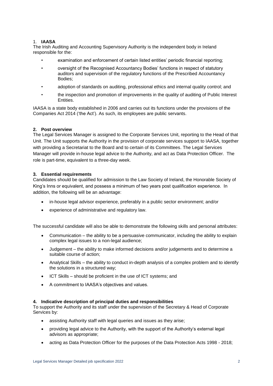# 1. **IAASA**

The Irish Auditing and Accounting Supervisory Authority is the independent body in Ireland responsible for the:

- examination and enforcement of certain listed entities' periodic financial reporting;
- oversight of the Recognised Accountancy Bodies' functions in respect of statutory auditors and supervision of the regulatory functions of the Prescribed Accountancy Bodies;
- adoption of standards on auditing, professional ethics and internal quality control; and
- the inspection and promotion of improvements in the quality of auditing of Public Interest Entities.

IAASA is a state body established in 2006 and carries out its functions under the provisions of the Companies Act 2014 ('the Act'). As such, its employees are public servants.

# **2. Post overview**

The Legal Services Manager is assigned to the Corporate Services Unit, reporting to the Head of that Unit. The Unit supports the Authority in the provision of corporate services support to IAASA, together with providing a Secretariat to the Board and to certain of its Committees. The Legal Services Manager will provide in-house legal advice to the Authority, and act as Data Protection Officer. The role is part-time, equivalent to a three-day week.

# **3. Essential requirements**

Candidates should be qualified for admission to the Law Society of Ireland, the Honorable Society of King's Inns or equivalent, and possess a minimum of two years post qualification experience. In addition, the following will be an advantage:

- in-house legal advisor experience, preferably in a public sector environment; and/or
- experience of administrative and regulatory law.

The successful candidate will also be able to demonstrate the following skills and personal attributes:

- Communication the ability to be a persuasive communicator, including the ability to explain complex legal issues to a non-legal audience;
- Judgement the ability to make informed decisions and/or judgements and to determine a suitable course of action;
- Analytical Skills the ability to conduct in-depth analysis of a complex problem and to identify the solutions in a structured way;
- ICT Skills should be proficient in the use of ICT systems; and
- A commitment to IAASA's objectives and values.

#### **4. Indicative description of principal duties and responsibilities**

To support the Authority and its staff under the supervision of the Secretary & Head of Corporate Services by:

- assisting Authority staff with legal queries and issues as they arise;
- providing legal advice to the Authority, with the support of the Authority's external legal advisors as appropriate;
- acting as Data Protection Officer for the purposes of the Data Protection Acts 1998 2018;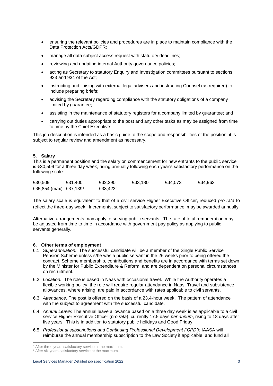- ensuring the relevant policies and procedures are in place to maintain compliance with the Data Protection Acts/GDPR;
- manage all data subject access request with statutory deadlines;
- reviewing and updating internal Authority governance policies;
- acting as Secretary to statutory Enquiry and Investigation committees pursuant to sections 933 and 934 of the Act;
- instructing and liaising with external legal advisers and instructing Counsel (as required) to include preparing briefs;
- advising the Secretary regarding compliance with the statutory obligations of a company limited by guarantee;
- assisting in the maintenance of statutory registers for a company limited by guarantee; and
- carrying out duties appropriate to the post and any other tasks as may be assigned from time to time by the Chief Executive.

This job description is intended as a basic guide to the scope and responsibilities of the position; it is subject to regular review and amendment as necessary.

# **5. Salary**

This is a permanent position and the salary on commencement for new entrants to the public service is €30,509 for a three day week, rising annually following each year's satisfactory performance on the following scale:

| €30.509                            | €31.400 | €32.290              | €33.180 | €34.073 | €34,963 |
|------------------------------------|---------|----------------------|---------|---------|---------|
| €35,854 (max) €37,139 <sup>1</sup> |         | €38.423 <sup>2</sup> |         |         |         |

The salary scale is equivalent to that of a civil service Higher Executive Officer, reduced *pro rata* to reflect the three-day week. Increments, subject to satisfactory performance, may be awarded annually.

Alternative arrangements may apply to serving public servants. The rate of total remuneration may be adjusted from time to time in accordance with government pay policy as applying to public servants generally.

#### **6. Other terms of employment**

- 6.1. *Superannuation:* The successful candidate will be a member of the Single Public Service Pension Scheme unless s/he was a public servant in the 26 weeks prior to being offered the contract. Scheme membership, contributions and benefits are in accordance with terms set down by the Minister for Public Expenditure & Reform, and are dependent on personal circumstances on recruitment.
- 6.2. *Location:* The role is based in Naas with occasional travel. While the Authority operates a flexible working policy, the role will require regular attendance in Naas. Travel and subsistence allowances, where arising, are paid in accordance with rates applicable to civil servants.
- 6.3. *Attendance:* The post is offered on the basis of a 23.4-hour week. The pattern of attendance with the subject to agreement with the successful candidate.
- 6.4. *Annual Leave:* The annual leave allowance based on a three day week is as applicable to a civil service Higher Executive Officer (*pro rata*), currently 17.5 days *per annum*, rising to 18 days after five years. This is in addition to statutory public holidays and Good Friday.
- 6.5. *Professional subscriptions and Continuing Professional Development ('CPD'):* IAASA will reimburse the annual membership subscription to the Law Society if applicable, and fund all

1

<sup>1</sup> After three years satisfactory service at the maximum.

<sup>&</sup>lt;sup>2</sup> After six years satisfactory service at the maximum.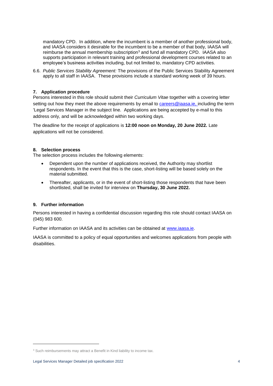mandatory CPD. In addition, where the incumbent is a member of another professional body, and IAASA considers it desirable for the incumbent to be a member of that body, IAASA will reimburse the annual membership subscription<sup>3</sup> and fund all mandatory CPD. IAASA also supports participation in relevant training and professional development courses related to an employee's business activities including, but not limited to, mandatory CPD activities.

6.6. *Public Services Stability Agreement:* The provisions of the Public Services Stability Agreement apply to all staff in IAASA. These provisions include a standard working week of 39 hours.

# **7. Application procedure**

Persons interested in this role should submit their *Curriculum Vitae* together with a covering letter setting out how they meet the above requirements by email to careers@iaasa.je, including the term 'Legal Services Manager in the subject line. Applications are being accepted by e-mail to this address only, and will be acknowledged within two working days.

The deadline for the receipt of applications is **12:00 noon on Monday, 20 June 2022.** Late applications will not be considered.

#### **8. Selection process**

The selection process includes the following elements:

- Dependent upon the number of applications received, the Authority may shortlist respondents. In the event that this is the case, short-listing will be based solely on the material submitted.
- Thereafter, applicants, or in the event of short-listing those respondents that have been shortlisted, shall be invited for interview on **Thursday, 30 June 2022.**

#### **9. Further information**

Persons interested in having a confidential discussion regarding this role should contact IAASA on (045) 983 600.

Further information on IAASA and its activities can be obtained at [www.iaasa.ie.](http://www.iaasa.ie/)

IAASA is committed to a policy of equal opportunities and welcomes applications from people with disabilities.

-

<sup>&</sup>lt;sup>3</sup> Such reimbursements may attract a Benefit in Kind liability to income tax.